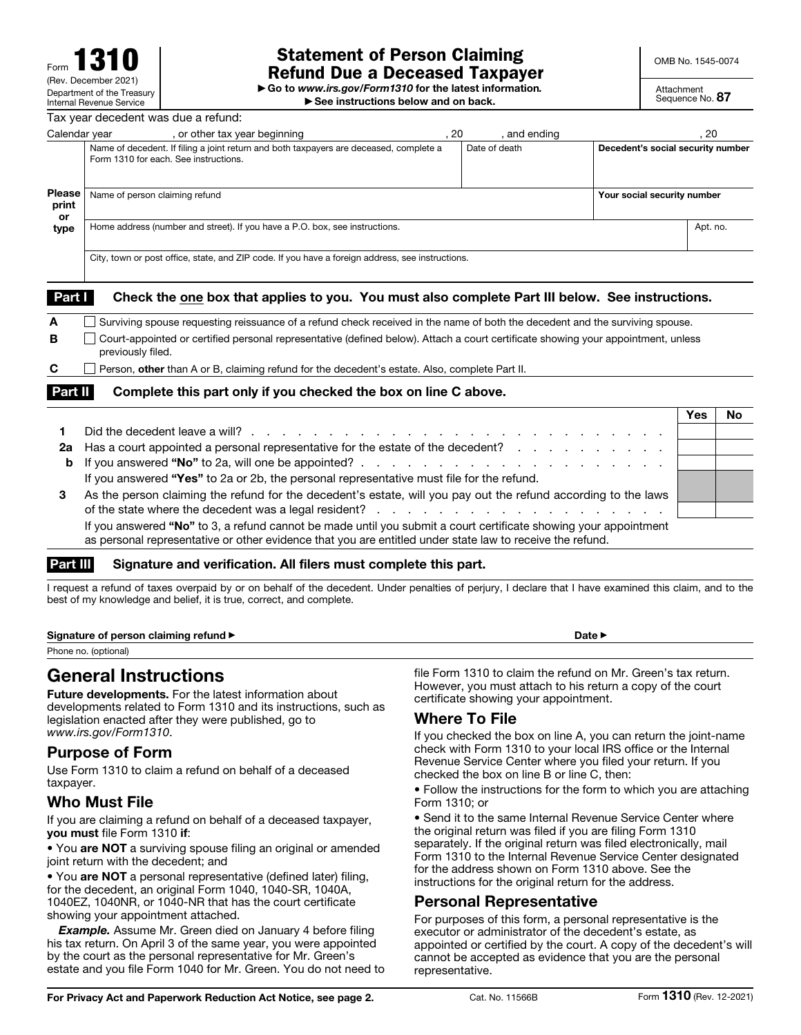# Statement of Person Claiming Refund Due a Deceased Taxpayer

OMB No. 1545-0074

▶ Go to *www.irs.gov/Form1310* for the latest information*.*

▶ See instructions below and on back.

Attachment Sequence No. 87

| Tax year decedent was due a refund: |                                                                                                                                 |                             |               |                                   |      |  |  |  |  |
|-------------------------------------|---------------------------------------------------------------------------------------------------------------------------------|-----------------------------|---------------|-----------------------------------|------|--|--|--|--|
| Calendar year                       | , or other tax year beginning                                                                                                   | . 20                        | and ending    |                                   | . 20 |  |  |  |  |
|                                     | Name of decedent. If filing a joint return and both taxpayers are deceased, complete a<br>Form 1310 for each. See instructions. |                             | Date of death | Decedent's social security number |      |  |  |  |  |
| <b>Please</b><br>print<br><b>or</b> | Name of person claiming refund                                                                                                  | Your social security number |               |                                   |      |  |  |  |  |
| type                                | Home address (number and street). If you have a P.O. box, see instructions.                                                     |                             |               |                                   |      |  |  |  |  |
|                                     | City, town or post office, state, and ZIP code. If you have a foreign address, see instructions.                                |                             |               |                                   |      |  |  |  |  |

#### Part Check the one box that applies to you. You must also complete Part III below. See instructions.

|         |                                                                                                                                                        | Yes | <b>No</b> |  |  |  |
|---------|--------------------------------------------------------------------------------------------------------------------------------------------------------|-----|-----------|--|--|--|
| Part II | Complete this part only if you checked the box on line C above.                                                                                        |     |           |  |  |  |
| C       | Person, other than A or B, claiming refund for the decedent's estate. Also, complete Part II.                                                          |     |           |  |  |  |
| в       | Court-appointed or certified personal representative (defined below). Attach a court certificate showing your appointment, unless<br>previously filed. |     |           |  |  |  |
| A       | Surviving spouse requesting reissuance of a refund check received in the name of both the decedent and the surviving spouse.                           |     |           |  |  |  |
|         |                                                                                                                                                        |     |           |  |  |  |

|    | Did the decedent leave a will? $\cdots$ $\cdots$ $\cdots$ $\cdots$ $\cdots$ $\cdots$ $\cdots$ $\cdots$ $\cdots$ $\cdots$ $\cdots$ $\cdots$ |  |
|----|--------------------------------------------------------------------------------------------------------------------------------------------|--|
| 2a | Has a court appointed a personal representative for the estate of the decedent?                                                            |  |
|    |                                                                                                                                            |  |
|    | If you answered "Yes" to 2a or 2b, the personal representative must file for the refund.                                                   |  |
| 3  | As the person claiming the refund for the decedent's estate, will you pay out the refund according to the laws                             |  |
|    |                                                                                                                                            |  |
|    | If you answered "No" to 3, a refund cannot be made until you submit a court certificate showing your appointment                           |  |
|    | as personal representative or other evidence that you are entitled under state law to receive the refund.                                  |  |

### Part III Signature and verification. All filers must complete this part.

I request a refund of taxes overpaid by or on behalf of the decedent. Under penalties of perjury, I declare that I have examined this claim, and to the best of my knowledge and belief, it is true, correct, and complete.

Signature of person claiming refund ▶ Date ▶ Date A

Phone no. (optional)

# General Instructions

Future developments. For the latest information about developments related to Form 1310 and its instructions, such as legislation enacted after they were published, go to *www.irs.gov/Form1310*.

### Purpose of Form

Use Form 1310 to claim a refund on behalf of a deceased taxpayer.

## Who Must File

If you are claiming a refund on behalf of a deceased taxpayer, you must file Form 1310 if:

• You are NOT a surviving spouse filing an original or amended joint return with the decedent; and

• You are NOT a personal representative (defined later) filing, for the decedent, an original Form 1040, 1040-SR, 1040A, 1040EZ, 1040NR, or 1040-NR that has the court certificate showing your appointment attached.

**Example.** Assume Mr. Green died on January 4 before filing his tax return. On April 3 of the same year, you were appointed by the court as the personal representative for Mr. Green's estate and you file Form 1040 for Mr. Green. You do not need to file Form 1310 to claim the refund on Mr. Green's tax return. However, you must attach to his return a copy of the court certificate showing your appointment.

## Where To File

If you checked the box on line A, you can return the joint-name check with Form 1310 to your local IRS office or the Internal Revenue Service Center where you filed your return. If you checked the box on line B or line C, then:

• Follow the instructions for the form to which you are attaching Form 1310; or

• Send it to the same Internal Revenue Service Center where the original return was filed if you are filing Form 1310 separately. If the original return was filed electronically, mail Form 1310 to the Internal Revenue Service Center designated for the address shown on Form 1310 above. See the instructions for the original return for the address.

#### Personal Representative

For purposes of this form, a personal representative is the executor or administrator of the decedent's estate, as appointed or certified by the court. A copy of the decedent's will cannot be accepted as evidence that you are the personal representative.